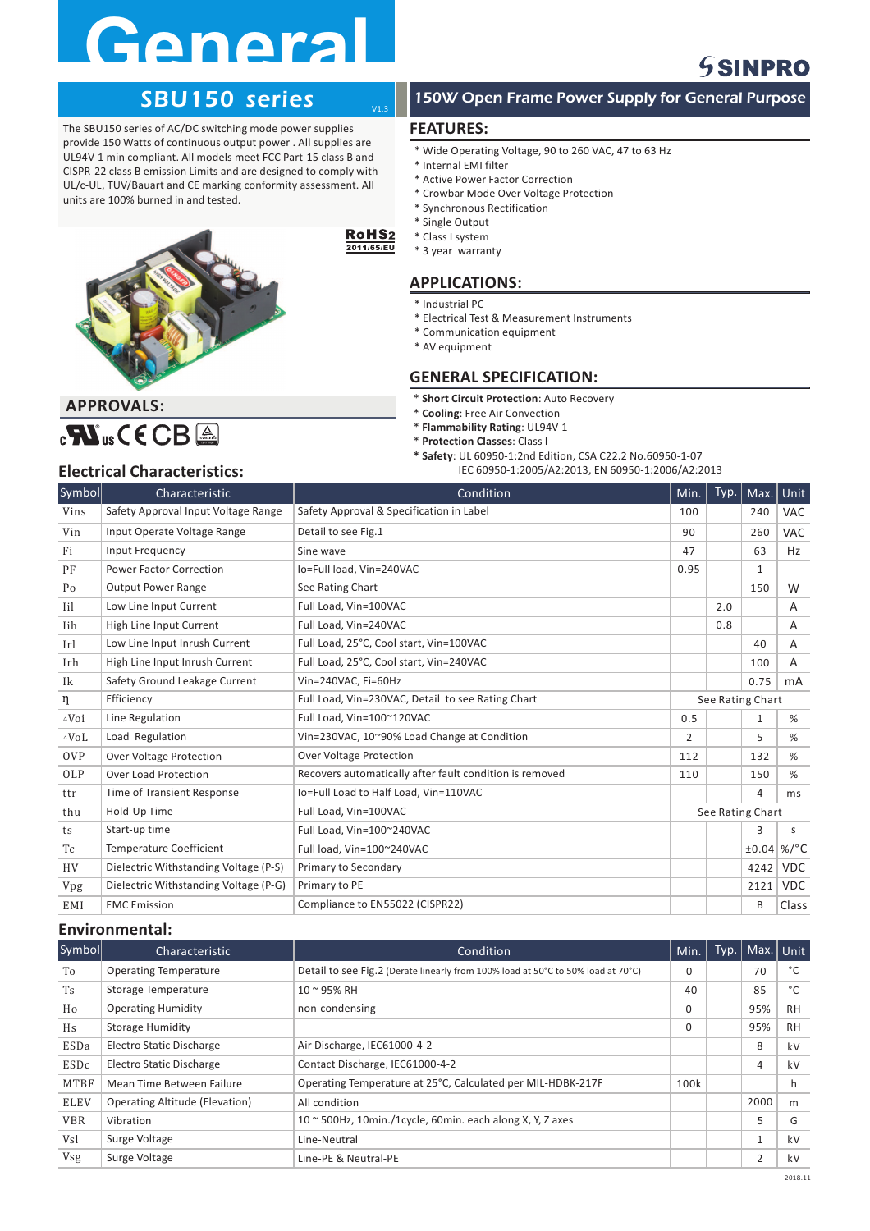# **General**

# SBU150 series

The SBU150 series of AC/DC switching mode power supplies provide 150 Watts of continuous output power . All supplies are UL94V-1 min compliant. All models meet FCC Part-15 class B and CISPR-22 class B emission Limits and are designed to comply with UL/c-UL, TUV/Bauart and CE marking conformity assessment. All units are 100% burned in and tested.



### **APPROVALS:**



#### RoHS<sub>2</sub> 2011/65/EU

V1.3

## **APPLICATIONS:**

- \* Industrial PC
- \* Electrical Test & Measurement Instruments
- \* Communication equipment
- \* AV equipment

#### **GENERAL SPECIFICATION:**

- $*$  **Short Circuit Protection**: Auto Recovery
- $*$  **Cooling**: Free Air Convection
- $*$  **Flammability Rating**: UL94V-1
- $*$  **Protection Classes**: Class I
- **\* Safety**: UL 60950-1:2nd Edition, CSA C22.2 No.60950-1-07
- **Electrical Characteristics:** IEC 60950-1:2005/A2:2013, EN 60950-1:2006/A2:2013

| Symbol           | Characteristic                        | Condition                                               | Min.             | Type. | Max.           | Unit            |
|------------------|---------------------------------------|---------------------------------------------------------|------------------|-------|----------------|-----------------|
| Vins             | Safety Approval Input Voltage Range   | Safety Approval & Specification in Label                | 100              |       | 240            | <b>VAC</b>      |
| Vin              | Input Operate Voltage Range           | Detail to see Fig.1                                     | 90               |       | 260            | <b>VAC</b>      |
| Fi               | Input Frequency                       | Sine wave                                               | 47               |       | 63             | Hz              |
| PF               | <b>Power Factor Correction</b>        | Io=Full load, Vin=240VAC                                | 0.95             |       | $\mathbf{1}$   |                 |
| Po               | <b>Output Power Range</b>             | See Rating Chart                                        |                  |       | 150            | W               |
| Iil              | Low Line Input Current                | Full Load, Vin=100VAC                                   |                  | 2.0   |                | A               |
| Iih              | High Line Input Current               | Full Load, Vin=240VAC                                   |                  | 0.8   |                | A               |
| Irl              | Low Line Input Inrush Current         | Full Load, 25°C, Cool start, Vin=100VAC                 |                  |       | 40             | A               |
| Irh              | High Line Input Inrush Current        | Full Load, 25°C, Cool start, Vin=240VAC                 |                  |       | 100            | A               |
| Ik               | Safety Ground Leakage Current         | Vin=240VAC, Fi=60Hz                                     |                  |       | 0.75           | mA              |
| η                | Efficiency                            | Full Load, Vin=230VAC, Detail to see Rating Chart       | See Rating Chart |       |                |                 |
| $\triangle V$ oi | Line Regulation                       | Full Load, Vin=100~120VAC<br>0.5                        |                  |       | $\mathbf{1}$   | %               |
| $\triangle$ VoL  | Load Regulation                       | Vin=230VAC, 10~90% Load Change at Condition             | 2                |       | 5              | %               |
| <b>OVP</b>       | <b>Over Voltage Protection</b>        | <b>Over Voltage Protection</b>                          | 112              |       | 132            | %               |
| OLP              | Over Load Protection                  | Recovers automatically after fault condition is removed | 110              |       | 150            | %               |
| ttr              | <b>Time of Transient Response</b>     | Io=Full Load to Half Load, Vin=110VAC                   |                  |       | $\overline{4}$ | ms              |
| thu              | Hold-Up Time                          | Full Load, Vin=100VAC                                   | See Rating Chart |       |                |                 |
| ts               | Start-up time                         | Full Load, Vin=100~240VAC                               |                  |       | 3              | S.              |
| Tc               | <b>Temperature Coefficient</b>        | Full load. Vin=100~240VAC                               |                  |       | ±0.04          | %/ $^{\circ}$ C |
| <b>HV</b>        | Dielectric Withstanding Voltage (P-S) | Primary to Secondary                                    |                  |       | 4242           | <b>VDC</b>      |
| Vpg              | Dielectric Withstanding Voltage (P-G) | Primary to PE                                           |                  |       | 2121           | <b>VDC</b>      |
| EMI              | <b>EMC</b> Emission                   | Compliance to EN55022 (CISPR22)                         |                  |       | B              | Class           |

#### **Environmental:**

| Symbol      | Characteristic                        | Condition                                                                        | Min.     | Typ. | Max. Unit      |           |
|-------------|---------------------------------------|----------------------------------------------------------------------------------|----------|------|----------------|-----------|
| To          | <b>Operating Temperature</b>          | Detail to see Fig.2 (Derate linearly from 100% load at 50°C to 50% load at 70°C) | $\Omega$ |      | 70             | °C        |
| <b>Ts</b>   | <b>Storage Temperature</b>            | $10 - 95%$ RH                                                                    | $-40$    |      | 85             | °C        |
| Ho          | <b>Operating Humidity</b>             | non-condensing                                                                   | $\Omega$ |      | 95%            | <b>RH</b> |
| Hs          | <b>Storage Humidity</b>               |                                                                                  | $\Omega$ |      | 95%            | <b>RH</b> |
| ESDa        | Electro Static Discharge              | Air Discharge, IEC61000-4-2                                                      |          |      | 8              | kV        |
| ESDc        | <b>Electro Static Discharge</b>       | Contact Discharge, IEC61000-4-2                                                  |          |      | 4              | kV        |
| MTBF        | Mean Time Between Failure             | Operating Temperature at 25°C, Calculated per MIL-HDBK-217F                      | 100k     |      |                | h         |
| <b>ELEV</b> | <b>Operating Altitude (Elevation)</b> | All condition                                                                    |          |      | 2000           | m         |
| <b>VBR</b>  | Vibration                             | $10 \approx 500$ Hz, 10min./1cycle, 60min. each along X, Y, Z axes               |          |      | 5              | G         |
| Vsl         | Surge Voltage                         | Line-Neutral                                                                     |          |      | 1              | kV        |
| Vsg         | Surge Voltage                         | Line-PE & Neutral-PE                                                             |          |      | $\overline{2}$ | kV        |

## 150W Open Frame Power Supply for General Purpose

**SSINPRO** 

#### **FEATURES:**

- \* Wide Operating Voltage, 90 to 260 VAC, 47 to 63 Hz
- \* Internal EMI filter
- \* Active Power Factor Correction
- \* Crowbar Mode Over Voltage Protection
- \* Synchronous Rectification
- \* Single Output
- \* Class I system \* 3 year warranty